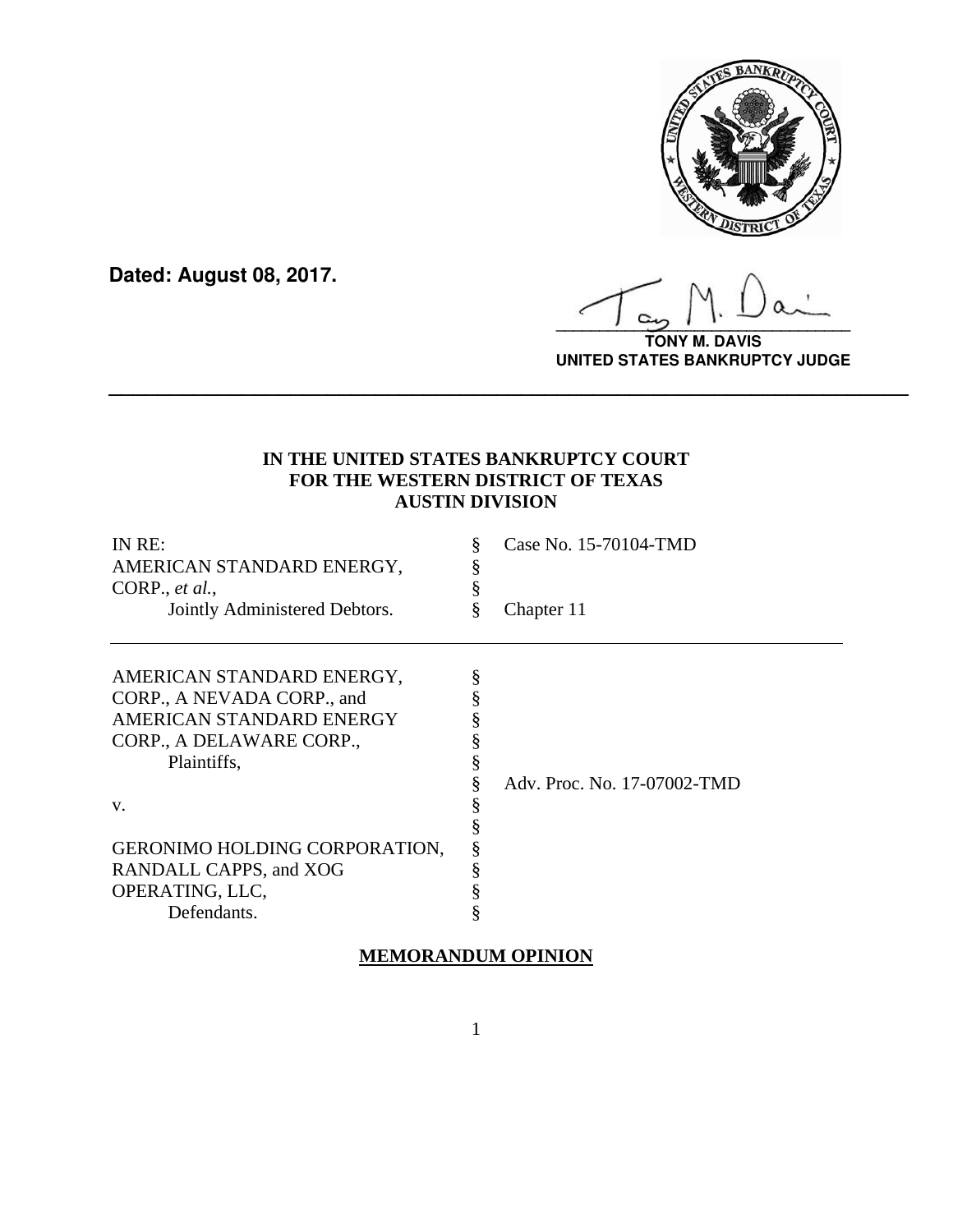

**Dated: August 08, 2017.**

**\_\_\_\_\_\_\_\_\_\_\_\_\_\_\_\_\_\_\_\_\_\_\_\_\_\_\_\_\_\_\_\_\_\_**

**TONY M. DAVIS UNITED STATES BANKRUPTCY JUDGE**

# **IN THE UNITED STATES BANKRUPTCY COURT FOR THE WESTERN DISTRICT OF TEXAS AUSTIN DIVISION**

**\_\_\_\_\_\_\_\_\_\_\_\_\_\_\_\_\_\_\_\_\_\_\_\_\_\_\_\_\_\_\_\_\_\_\_\_\_\_\_\_\_\_\_\_\_\_\_\_\_\_\_\_\_\_\_\_\_\_\_\_\_\_\_\_\_\_**

| IN RE:<br>AMERICAN STANDARD ENERGY,<br>CORP., $et al.,$<br>Jointly Administered Debtors.                                       | Š | Case No. 15-70104-TMD<br>Chapter 11 |
|--------------------------------------------------------------------------------------------------------------------------------|---|-------------------------------------|
| AMERICAN STANDARD ENERGY,<br>CORP., A NEVADA CORP., and<br>AMERICAN STANDARD ENERGY<br>CORP., A DELAWARE CORP.,<br>Plaintiffs, |   | Adv. Proc. No. 17-07002-TMD         |
| V.<br><b>GERONIMO HOLDING CORPORATION,</b><br>RANDALL CAPPS, and XOG<br>OPERATING, LLC,<br>Defendants.                         |   |                                     |

# **MEMORANDUM OPINION**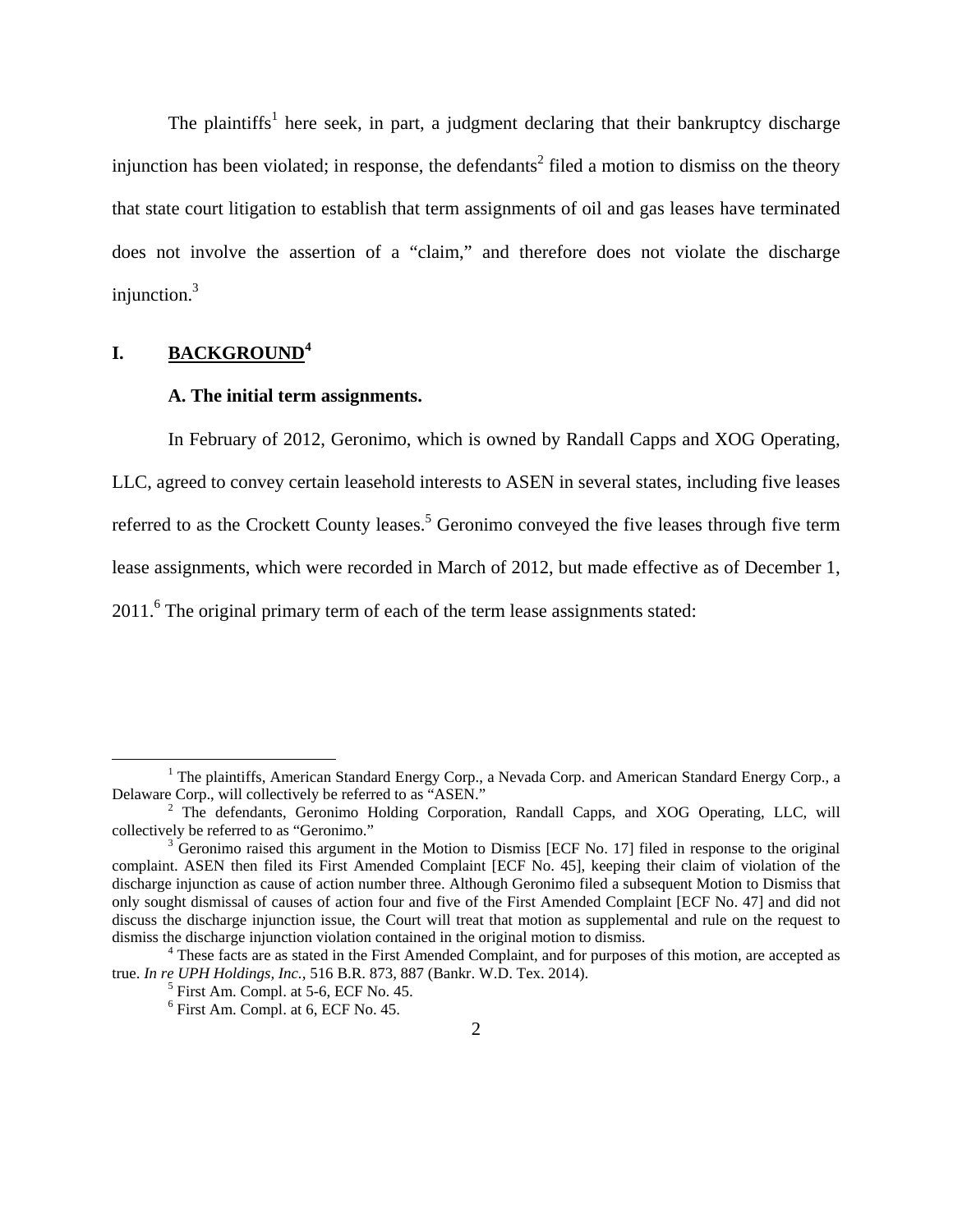The plaintiffs<sup>1</sup> here seek, in part, a judgment declaring that their bankruptcy discharge injunction has been violated; in response, the defendants<sup>2</sup> filed a motion to dismiss on the theory that state court litigation to establish that term assignments of oil and gas leases have terminated does not involve the assertion of a "claim," and therefore does not violate the discharge injunction.<sup>3</sup>

## **I. BACKGROUND<sup>4</sup>**

## **A. The initial term assignments.**

In February of 2012, Geronimo, which is owned by Randall Capps and XOG Operating,

LLC, agreed to convey certain leasehold interests to ASEN in several states, including five leases referred to as the Crockett County leases.<sup>5</sup> Geronimo conveyed the five leases through five term lease assignments, which were recorded in March of 2012, but made effective as of December 1,

2011.<sup>6</sup> The original primary term of each of the term lease assignments stated:

 $\frac{1}{1}$ <sup>1</sup> The plaintiffs, American Standard Energy Corp., a Nevada Corp. and American Standard Energy Corp., a Delaware Corp., will collectively be referred to as "ASEN."

<sup>&</sup>lt;sup>2</sup> The defendants, Geronimo Holding Corporation, Randall Capps, and XOG Operating, LLC, will collectively be referred to as "Geronimo."

 $3\overline{G}$  Geronimo raised this argument in the Motion to Dismiss [ECF No. 17] filed in response to the original complaint. ASEN then filed its First Amended Complaint [ECF No. 45], keeping their claim of violation of the discharge injunction as cause of action number three. Although Geronimo filed a subsequent Motion to Dismiss that only sought dismissal of causes of action four and five of the First Amended Complaint [ECF No. 47] and did not discuss the discharge injunction issue, the Court will treat that motion as supplemental and rule on the request to dismiss the discharge injunction violation contained in the original motion to dismiss. 4

<sup>&</sup>lt;sup>4</sup> These facts are as stated in the First Amended Complaint, and for purposes of this motion, are accepted as true. *In re UPH Holdings, Inc.,* 516 B.R. 873, 887 (Bankr. W.D. Tex. 2014).

 $<sup>5</sup>$  First Am. Compl. at 5-6, ECF No. 45.</sup>

<sup>6</sup> First Am. Compl. at 6, ECF No. 45.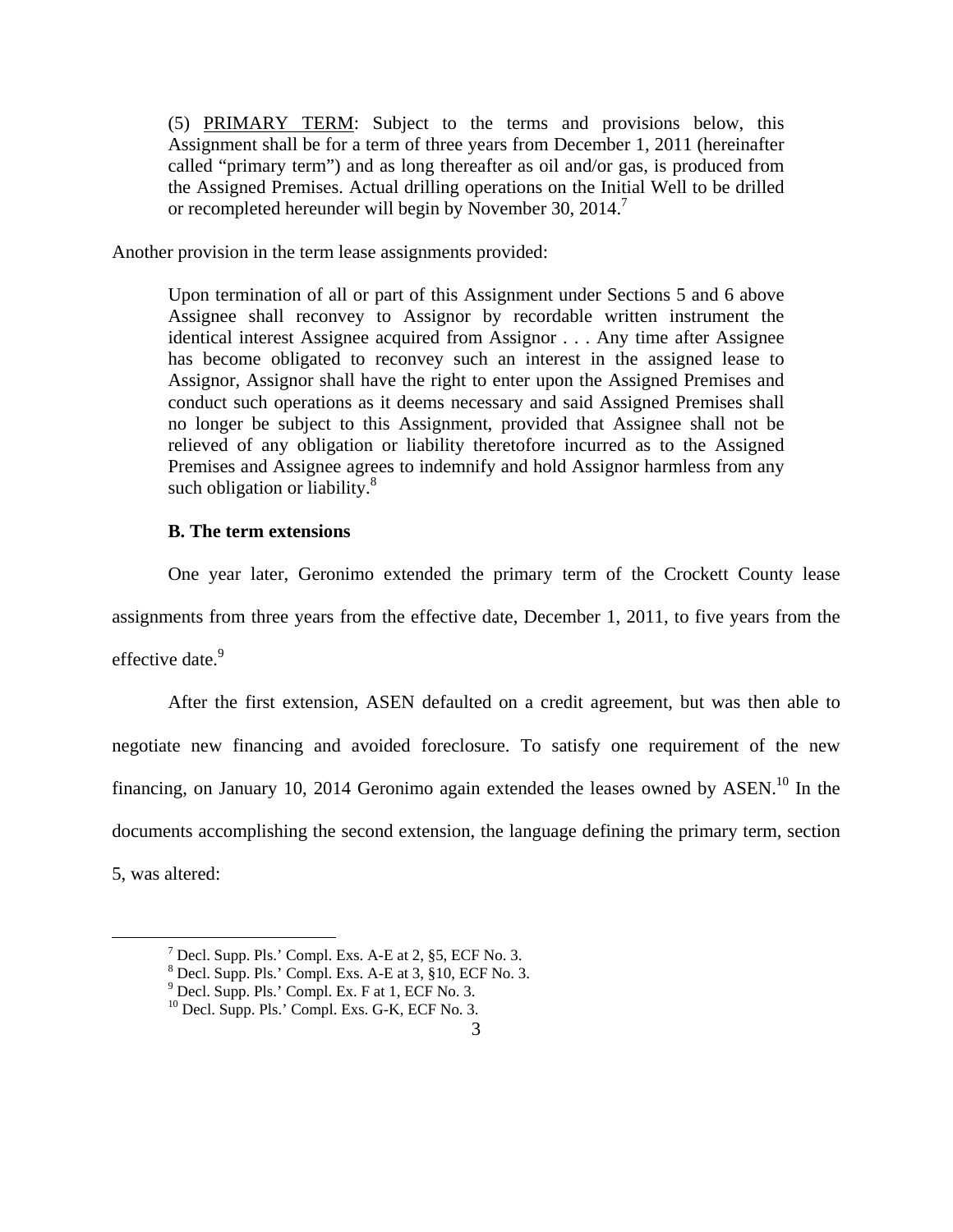(5) PRIMARY TERM: Subject to the terms and provisions below, this Assignment shall be for a term of three years from December 1, 2011 (hereinafter called "primary term") and as long thereafter as oil and/or gas, is produced from the Assigned Premises. Actual drilling operations on the Initial Well to be drilled or recompleted hereunder will begin by November 30, 2014.<sup>7</sup>

Another provision in the term lease assignments provided:

 Upon termination of all or part of this Assignment under Sections 5 and 6 above Assignee shall reconvey to Assignor by recordable written instrument the identical interest Assignee acquired from Assignor . . . Any time after Assignee has become obligated to reconvey such an interest in the assigned lease to Assignor, Assignor shall have the right to enter upon the Assigned Premises and conduct such operations as it deems necessary and said Assigned Premises shall no longer be subject to this Assignment, provided that Assignee shall not be relieved of any obligation or liability theretofore incurred as to the Assigned Premises and Assignee agrees to indemnify and hold Assignor harmless from any such obligation or liability. $8$ 

#### **B. The term extensions**

One year later, Geronimo extended the primary term of the Crockett County lease assignments from three years from the effective date, December 1, 2011, to five years from the effective date.<sup>9</sup>

After the first extension, ASEN defaulted on a credit agreement, but was then able to negotiate new financing and avoided foreclosure. To satisfy one requirement of the new financing, on January 10, 2014 Geronimo again extended the leases owned by  $ASEN<sup>10</sup>$ . In the documents accomplishing the second extension, the language defining the primary term, section 5, was altered:

 $\begin{array}{c|c}\n\hline\n\end{array}$  $^7$  Decl. Supp. Pls.' Compl. Exs. A-E at 2, §5, ECF No. 3.

<sup>8</sup> Decl. Supp. Pls.' Compl. Exs. A-E at 3, §10, ECF No. 3.

<sup>9</sup> Decl. Supp. Pls.' Compl. Ex. F at 1, ECF No. 3.

 $10$  Decl. Supp. Pls.' Compl. Exs. G-K, ECF No. 3.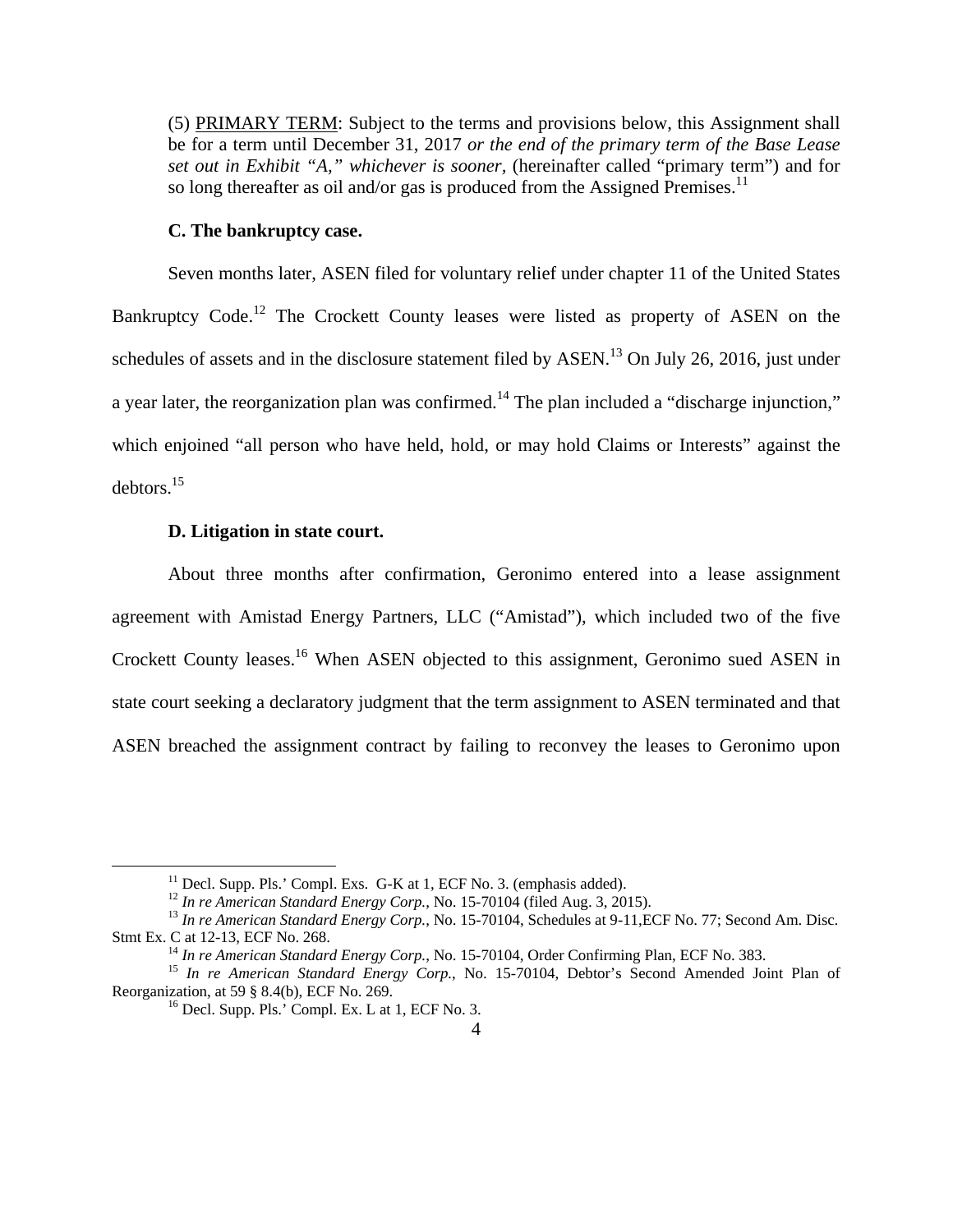(5) PRIMARY TERM: Subject to the terms and provisions below, this Assignment shall be for a term until December 31, 2017 *or the end of the primary term of the Base Lease set out in Exhibit "A," whichever is sooner,* (hereinafter called "primary term") and for so long thereafter as oil and/or gas is produced from the Assigned Premises.<sup>11</sup>

#### **C. The bankruptcy case.**

Seven months later, ASEN filed for voluntary relief under chapter 11 of the United States Bankruptcy Code.<sup>12</sup> The Crockett County leases were listed as property of ASEN on the schedules of assets and in the disclosure statement filed by ASEN.<sup>13</sup> On July 26, 2016, just under a year later, the reorganization plan was confirmed.<sup>14</sup> The plan included a "discharge injunction," which enjoined "all person who have held, hold, or may hold Claims or Interests" against the debtors.15

## **D. Litigation in state court.**

About three months after confirmation, Geronimo entered into a lease assignment agreement with Amistad Energy Partners, LLC ("Amistad"), which included two of the five Crockett County leases.16 When ASEN objected to this assignment, Geronimo sued ASEN in state court seeking a declaratory judgment that the term assignment to ASEN terminated and that ASEN breached the assignment contract by failing to reconvey the leases to Geronimo upon

<sup>&</sup>lt;sup>11</sup> Decl. Supp. Pls.' Compl. Exs. G-K at 1, ECF No. 3. (emphasis added).<br><sup>12</sup> In re American Standard Energy Corp., No. 15-70104 (filed Aug. 3, 2015).

<sup>&</sup>lt;sup>13</sup> In re American Standard Energy Corp., No. 15-70104, Schedules at 9-11, ECF No. 77; Second Am. Disc. Stmt Ex. C at 12-13, ECF No. 268.<br><sup>14</sup> In re American Standard Energy Corp., No. 15-70104, Order Confirming Plan, ECF No. 383.<br><sup>15</sup> In re American Standard Energy Corp., No. 15-70104, Debtor's Second Amended Joint Plan of

Reorganization, at 59 § 8.4(b), ECF No. 269.<br><sup>16</sup> Decl. Supp. Pls.' Compl. Ex. L at 1, ECF No. 3.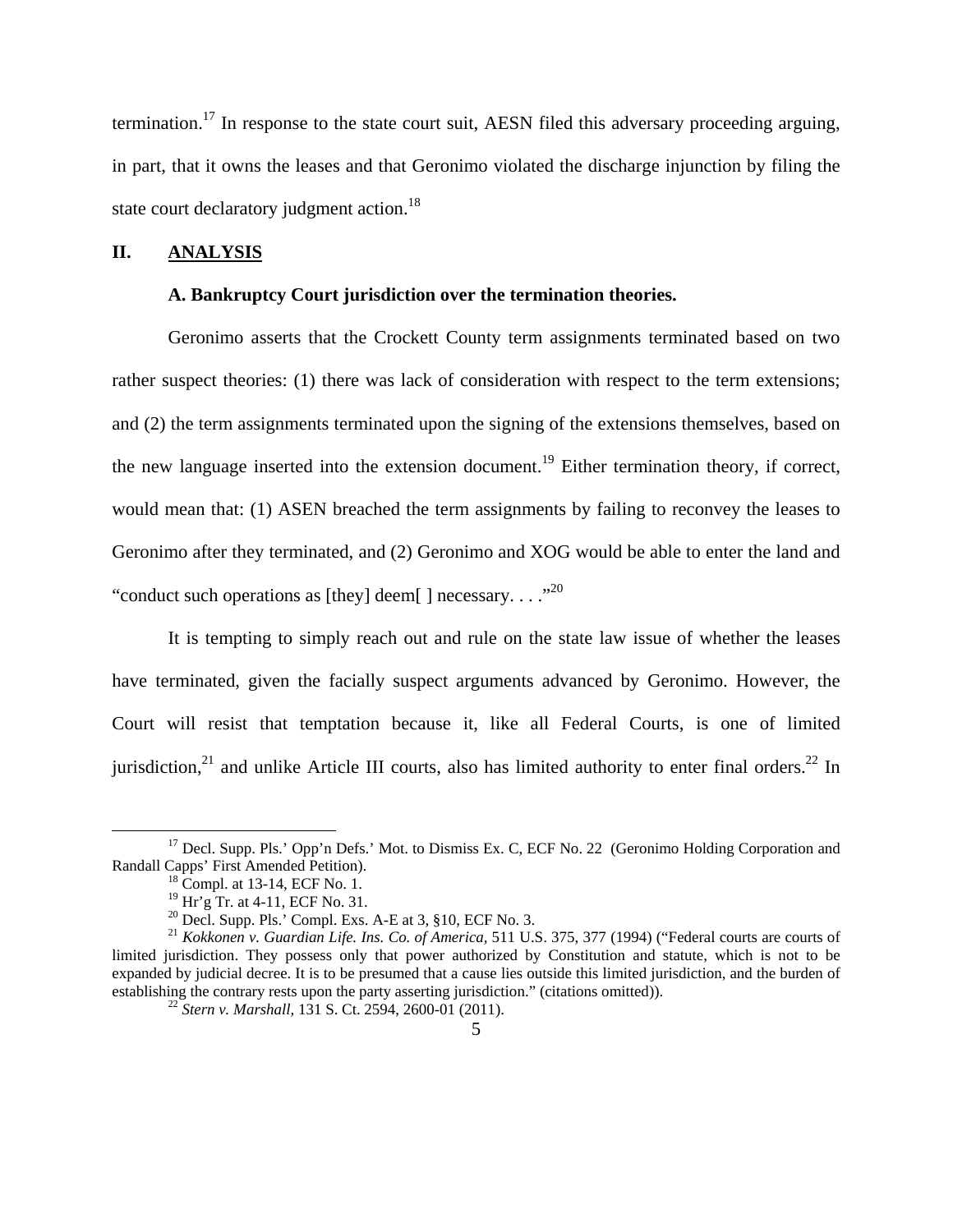termination.17 In response to the state court suit, AESN filed this adversary proceeding arguing, in part, that it owns the leases and that Geronimo violated the discharge injunction by filing the state court declaratory judgment action.<sup>18</sup>

#### **II. ANALYSIS**

## **A. Bankruptcy Court jurisdiction over the termination theories.**

 Geronimo asserts that the Crockett County term assignments terminated based on two rather suspect theories: (1) there was lack of consideration with respect to the term extensions; and (2) the term assignments terminated upon the signing of the extensions themselves, based on the new language inserted into the extension document.<sup>19</sup> Either termination theory, if correct, would mean that: (1) ASEN breached the term assignments by failing to reconvey the leases to Geronimo after they terminated, and (2) Geronimo and XOG would be able to enter the land and "conduct such operations as [they] deem[ ] necessary...."<sup>20</sup>

It is tempting to simply reach out and rule on the state law issue of whether the leases have terminated, given the facially suspect arguments advanced by Geronimo. However, the Court will resist that temptation because it, like all Federal Courts, is one of limited jurisdiction, $^{21}$  and unlike Article III courts, also has limited authority to enter final orders. $^{22}$  In

<sup>&</sup>lt;sup>17</sup> Decl. Supp. Pls.' Opp'n Defs.' Mot. to Dismiss Ex. C, ECF No. 22 (Geronimo Holding Corporation and Randall Capps' First Amended Petition).<br><sup>18</sup> Compl. at 13-14, ECF No. 1.

<sup>19</sup> Hr'g Tr. at 4-11, ECF No. 31.

<sup>&</sup>lt;sup>20</sup> Decl. Supp. Pls.' Compl. Exs. A-E at 3,  $\S$ 10, ECF No. 3.

<sup>21</sup> *Kokkonen v. Guardian Life. Ins. Co. of America,* 511 U.S. 375, 377 (1994) ("Federal courts are courts of limited jurisdiction. They possess only that power authorized by Constitution and statute, which is not to be expanded by judicial decree. It is to be presumed that a cause lies outside this limited jurisdiction, and the burden of establishing the contrary rests upon the party asserting jurisdiction." (citations omitted)).<br><sup>22</sup> *Stern v. Marshall*, 131 S. Ct. 2594, 2600-01 (2011).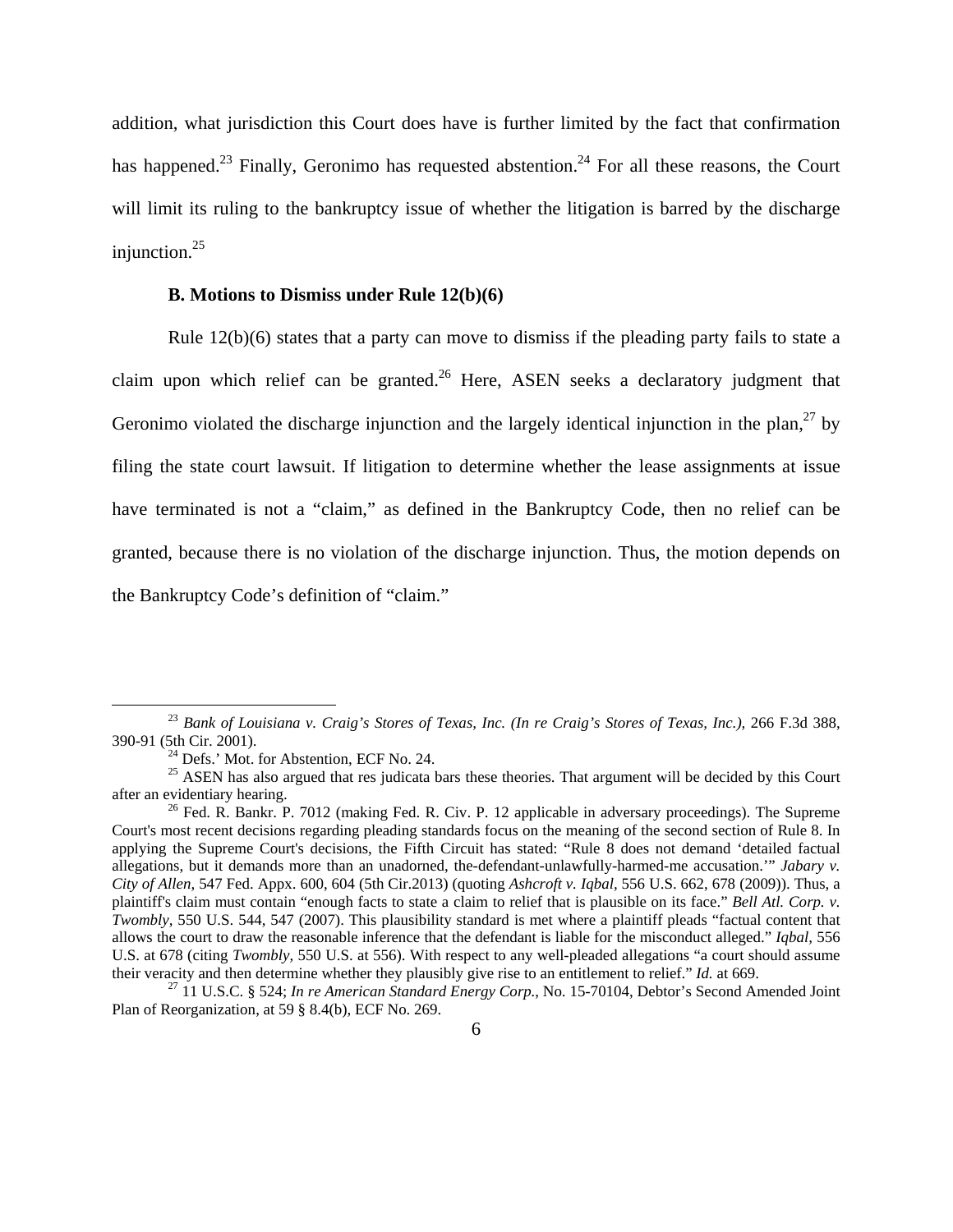addition, what jurisdiction this Court does have is further limited by the fact that confirmation has happened.<sup>23</sup> Finally, Geronimo has requested abstention.<sup>24</sup> For all these reasons, the Court will limit its ruling to the bankruptcy issue of whether the litigation is barred by the discharge injunction. $25$ 

## **B. Motions to Dismiss under Rule 12(b)(6)**

 Rule 12(b)(6) states that a party can move to dismiss if the pleading party fails to state a claim upon which relief can be granted.<sup>26</sup> Here, ASEN seeks a declaratory judgment that Geronimo violated the discharge injunction and the largely identical injunction in the plan,  $27$  by filing the state court lawsuit. If litigation to determine whether the lease assignments at issue have terminated is not a "claim," as defined in the Bankruptcy Code, then no relief can be granted, because there is no violation of the discharge injunction. Thus, the motion depends on the Bankruptcy Code's definition of "claim."

<sup>&</sup>lt;sup>23</sup> Bank of Louisiana v. Craig's Stores of Texas, Inc. (In re Craig's Stores of Texas, Inc.), 266 F.3d 388, 390-91 (5th Cir. 2001). 24 Defs.' Mot. for Abstention, ECF No. 24.

<sup>&</sup>lt;sup>25</sup> ASEN has also argued that res judicata bars these theories. That argument will be decided by this Court after an evidentiary hearing.<br><sup>26</sup> Fed. R. Bankr. P. 7012 (making Fed. R. Civ. P. 12 applicable in adversary proceedings). The Supreme

Court's most recent decisions regarding pleading standards focus on the meaning of the second section of Rule 8. In applying the Supreme Court's decisions, the Fifth Circuit has stated: "Rule 8 does not demand 'detailed factual allegations, but it demands more than an unadorned, the-defendant-unlawfully-harmed-me accusation.'" *Jabary v. City of Allen,* 547 Fed. Appx. 600, 604 (5th Cir.2013) (quoting *Ashcroft v. Iqbal,* 556 U.S. 662, 678 (2009)). Thus, a plaintiff's claim must contain "enough facts to state a claim to relief that is plausible on its face." *Bell Atl. Corp. v. Twombly,* 550 U.S. 544, 547 (2007). This plausibility standard is met where a plaintiff pleads "factual content that allows the court to draw the reasonable inference that the defendant is liable for the misconduct alleged." *Iqbal,* 556 U.S. at 678 (citing *Twombly,* 550 U.S. at 556). With respect to any well-pleaded allegations "a court should assume their veracity and then determine whether they plausibly give rise to an entitlement to relief." *Id.* at 669.<br><sup>27</sup> 11 U.S.C. § 524; *In re American Standard Energy Corp.*, No. 15-70104, Debtor's Second Amended Joint

Plan of Reorganization, at 59 § 8.4(b), ECF No. 269.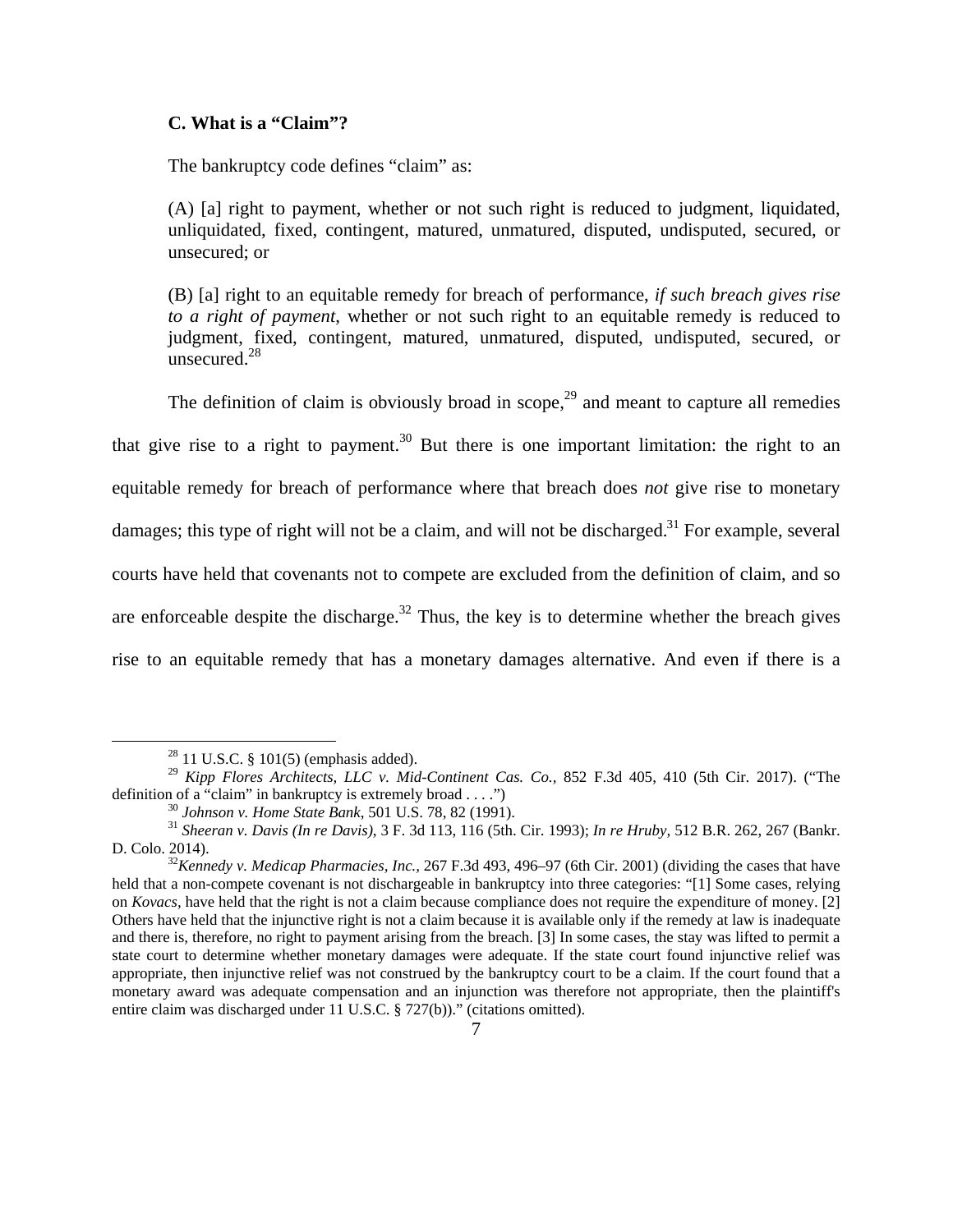### **C. What is a "Claim"?**

The bankruptcy code defines "claim" as:

 (A) [a] right to payment, whether or not such right is reduced to judgment, liquidated, unliquidated, fixed, contingent, matured, unmatured, disputed, undisputed, secured, or unsecured; or

 (B) [a] right to an equitable remedy for breach of performance, *if such breach gives rise to a right of payment*, whether or not such right to an equitable remedy is reduced to judgment, fixed, contingent, matured, unmatured, disputed, undisputed, secured, or unsecured.28

The definition of claim is obviously broad in scope,  $29$  and meant to capture all remedies that give rise to a right to payment.<sup>30</sup> But there is one important limitation: the right to an equitable remedy for breach of performance where that breach does *not* give rise to monetary damages; this type of right will not be a claim, and will not be discharged.<sup>31</sup> For example, several courts have held that covenants not to compete are excluded from the definition of claim, and so are enforceable despite the discharge.<sup>32</sup> Thus, the key is to determine whether the breach gives rise to an equitable remedy that has a monetary damages alternative. And even if there is a

 $28$  11 U.S.C. § 101(5) (emphasis added).

<sup>&</sup>lt;sup>29</sup> *Kipp Flores Architects, LLC v. Mid-Continent Cas. Co.,* 852 F.3d 405, 410 (5th Cir. 2017). ("The definition of a "claim" in bankruptcy is extremely broad . . . ")

<sup>&</sup>lt;sup>30</sup> Johnson v. Home State Bank, 501 U.S. 78, 82 (1991).<br><sup>31</sup> Sheeran v. Davis (In re Davis), 3 F. 3d 113, 116 (5th. Cir. 1993); In re Hruby, 512 B.R. 262, 267 (Bankr.

D. Colo. 2014). 32*Kennedy v. Medicap Pharmacies, Inc.,* 267 F.3d 493, 496–97 (6th Cir. 2001) (dividing the cases that have held that a non-compete covenant is not dischargeable in bankruptcy into three categories: "[1] Some cases, relying on *Kovacs,* have held that the right is not a claim because compliance does not require the expenditure of money. [2] Others have held that the injunctive right is not a claim because it is available only if the remedy at law is inadequate and there is, therefore, no right to payment arising from the breach. [3] In some cases, the stay was lifted to permit a state court to determine whether monetary damages were adequate. If the state court found injunctive relief was appropriate, then injunctive relief was not construed by the bankruptcy court to be a claim. If the court found that a monetary award was adequate compensation and an injunction was therefore not appropriate, then the plaintiff's entire claim was discharged under 11 U.S.C. § 727(b))." (citations omitted).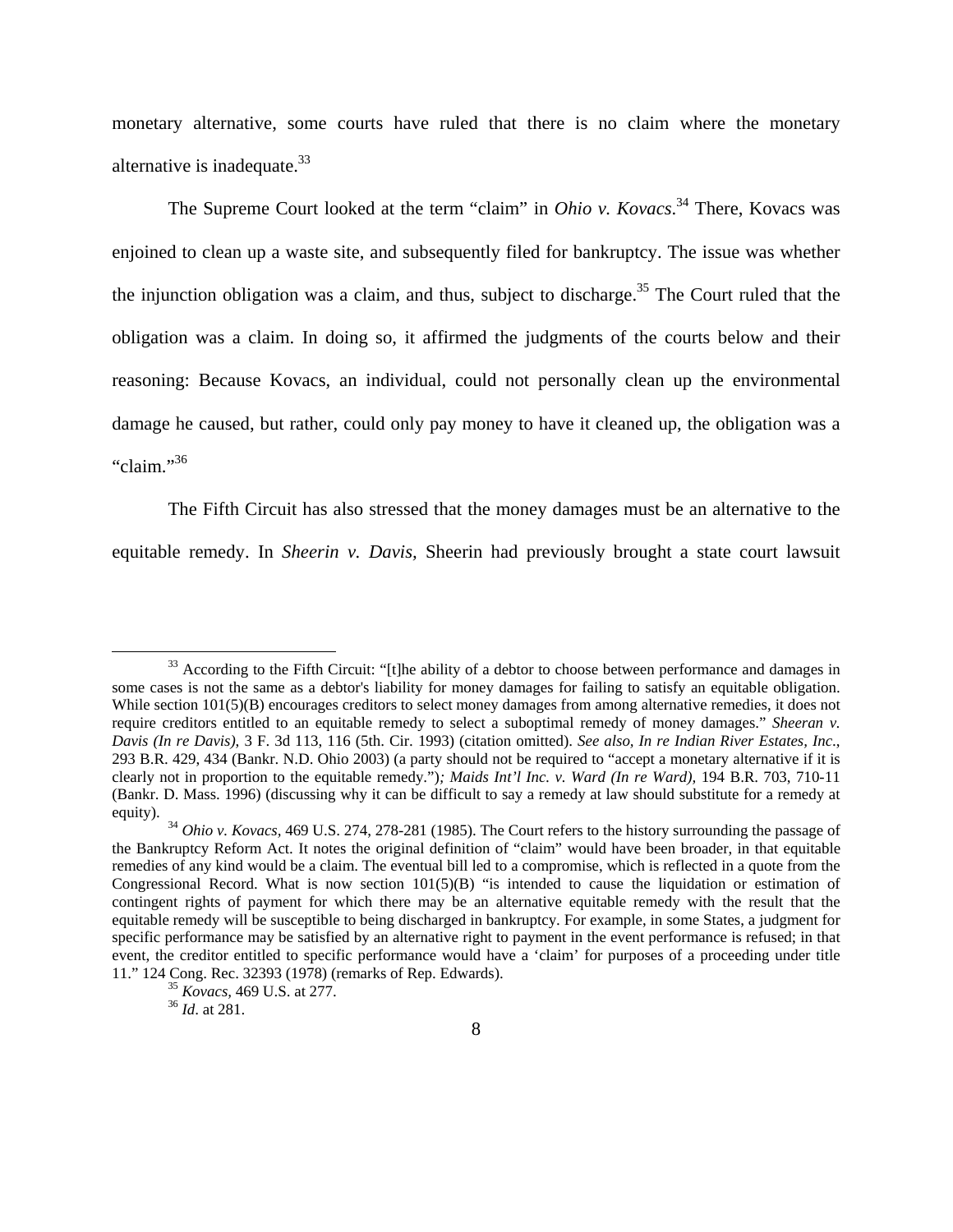monetary alternative, some courts have ruled that there is no claim where the monetary alternative is inadequate.<sup>33</sup>

 The Supreme Court looked at the term "claim" in *Ohio v. Kovacs*. 34 There, Kovacs was enjoined to clean up a waste site, and subsequently filed for bankruptcy. The issue was whether the injunction obligation was a claim, and thus, subject to discharge.<sup>35</sup> The Court ruled that the obligation was a claim. In doing so, it affirmed the judgments of the courts below and their reasoning: Because Kovacs, an individual, could not personally clean up the environmental damage he caused, but rather, could only pay money to have it cleaned up, the obligation was a "claim."36

 The Fifth Circuit has also stressed that the money damages must be an alternative to the equitable remedy. In *Sheerin v. Davis,* Sheerin had previously brought a state court lawsuit

<sup>&</sup>lt;sup>33</sup> According to the Fifth Circuit: "[t]he ability of a debtor to choose between performance and damages in some cases is not the same as a debtor's liability for money damages for failing to satisfy an equitable obligation. While section  $101(5)(B)$  encourages creditors to select money damages from among alternative remedies, it does not require creditors entitled to an equitable remedy to select a suboptimal remedy of money damages." *Sheeran v. Davis (In re Davis)*, 3 F. 3d 113, 116 (5th. Cir. 1993) (citation omitted). *See also, In re Indian River Estates, Inc*., 293 B.R. 429, 434 (Bankr. N.D. Ohio 2003) (a party should not be required to "accept a monetary alternative if it is clearly not in proportion to the equitable remedy.")*; Maids Int'l Inc. v. Ward (In re Ward),* 194 B.R. 703, 710-11 (Bankr. D. Mass. 1996) (discussing why it can be difficult to say a remedy at law should substitute for a remedy at equity). 34 *Ohio v. Kovacs,* 469 U.S. 274, 278-281 (1985). The Court refers to the history surrounding the passage of

the Bankruptcy Reform Act. It notes the original definition of "claim" would have been broader, in that equitable remedies of any kind would be a claim. The eventual bill led to a compromise, which is reflected in a quote from the Congressional Record. What is now section  $101(5)(B)$  "is intended to cause the liquidation or estimation of contingent rights of payment for which there may be an alternative equitable remedy with the result that the equitable remedy will be susceptible to being discharged in bankruptcy. For example, in some States, a judgment for specific performance may be satisfied by an alternative right to payment in the event performance is refused; in that event, the creditor entitled to specific performance would have a 'claim' for purposes of a proceeding under title 11." 124 Cong. Rec. 32393 (1978) (remarks of Rep. Edwards). 35 *Kovacs,* 469 U.S. at 277. 36 *Id*. at 281.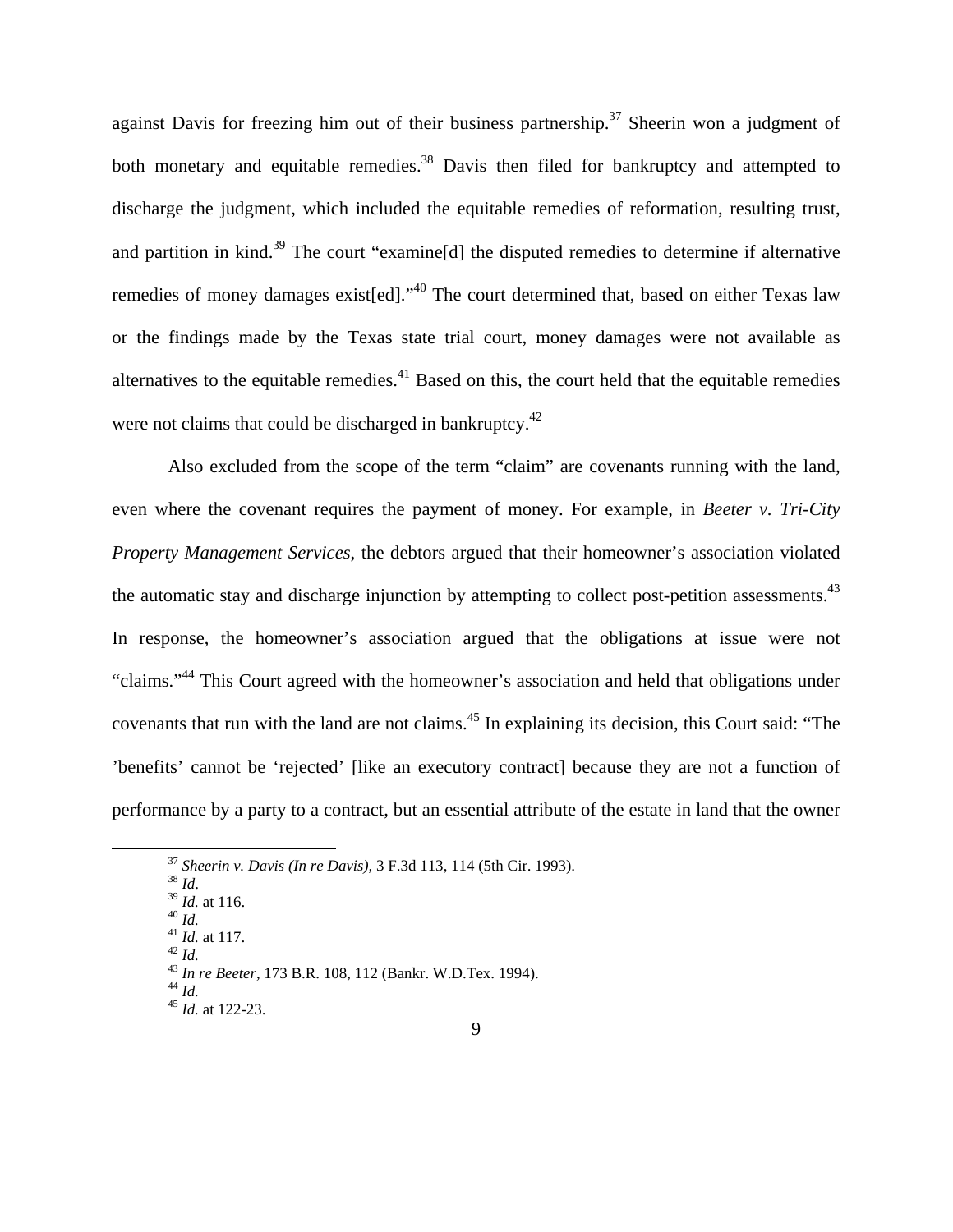against Davis for freezing him out of their business partnership.<sup>37</sup> Sheerin won a judgment of both monetary and equitable remedies.<sup>38</sup> Davis then filed for bankruptcy and attempted to discharge the judgment, which included the equitable remedies of reformation, resulting trust, and partition in kind.<sup>39</sup> The court "examine[d] the disputed remedies to determine if alternative remedies of money damages exist[ed]."<sup>40</sup> The court determined that, based on either Texas law or the findings made by the Texas state trial court, money damages were not available as alternatives to the equitable remedies.<sup>41</sup> Based on this, the court held that the equitable remedies were not claims that could be discharged in bankruptcy.<sup>42</sup>

 Also excluded from the scope of the term "claim" are covenants running with the land, even where the covenant requires the payment of money. For example, in *Beeter v. Tri-City Property Management Services*, the debtors argued that their homeowner's association violated the automatic stay and discharge injunction by attempting to collect post-petition assessments.<sup>43</sup> In response, the homeowner's association argued that the obligations at issue were not "claims."44 This Court agreed with the homeowner's association and held that obligations under covenants that run with the land are not claims.45 In explaining its decision, this Court said: "The 'benefits' cannot be 'rejected' [like an executory contract] because they are not a function of performance by a party to a contract, but an essential attribute of the estate in land that the owner

<sup>&</sup>lt;sup>37</sup> Sheerin v. Davis (In re Davis), 3 F.3d 113, 114 (5th Cir. 1993).<br>
<sup>38</sup> Id. at 116.<br>
<sup>40</sup> Id. at 117.<br>
<sup>42</sup> Id. at 117.<br>
<sup>43</sup> In re Beeter, 173 B.R. 108, 112 (Bankr. W.D.Tex. 1994).<br>
<sup>44</sup> Id. at 122-23.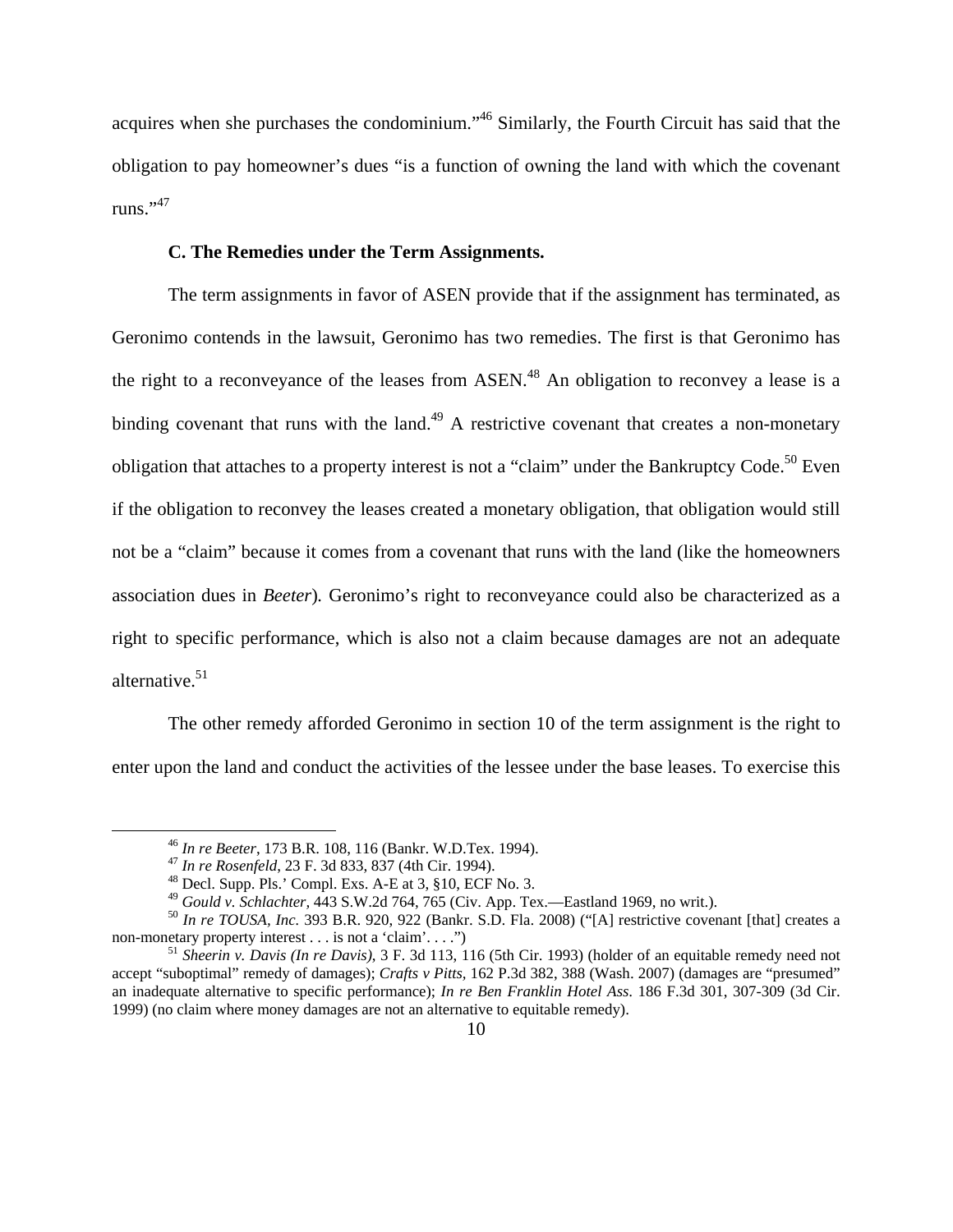acquires when she purchases the condominium."46 Similarly, the Fourth Circuit has said that the obligation to pay homeowner's dues "is a function of owning the land with which the covenant runs."<sup>47</sup>

#### **C. The Remedies under the Term Assignments.**

 The term assignments in favor of ASEN provide that if the assignment has terminated, as Geronimo contends in the lawsuit, Geronimo has two remedies. The first is that Geronimo has the right to a reconveyance of the leases from ASEN.<sup>48</sup> An obligation to reconvey a lease is a binding covenant that runs with the land.<sup>49</sup> A restrictive covenant that creates a non-monetary obligation that attaches to a property interest is not a "claim" under the Bankruptcy Code.<sup>50</sup> Even if the obligation to reconvey the leases created a monetary obligation, that obligation would still not be a "claim" because it comes from a covenant that runs with the land (like the homeowners association dues in *Beeter*)*.* Geronimo's right to reconveyance could also be characterized as a right to specific performance, which is also not a claim because damages are not an adequate alternative. $51$ 

 The other remedy afforded Geronimo in section 10 of the term assignment is the right to enter upon the land and conduct the activities of the lessee under the base leases. To exercise this

<sup>&</sup>lt;sup>46</sup> *In re Beeter*, 173 B.R. 108, 116 (Bankr. W.D.Tex. 1994).<br><sup>47</sup> *In re Rosenfeld*, 23 F. 3d 833, 837 (4th Cir. 1994).<br><sup>48</sup> Decl. Supp. Pls.' Compl. Exs. A-E at 3, §10, ECF No. 3.<br><sup>49</sup> *Gould v. Schlachter*, 443 S.W.2d

<sup>&</sup>lt;sup>50</sup> *In re TOUSA, Inc.* 393 B.R. 920, 922 (Bankr. S.D. Fla. 2008) ("[A] restrictive covenant [that] creates a non-monetary property interest . . . is not a 'claim'....")

<sup>&</sup>lt;sup>51</sup> Sheerin v. Davis (In re Davis), 3 F. 3d 113, 116 (5th Cir. 1993) (holder of an equitable remedy need not accept "suboptimal" remedy of damages); *Crafts v Pitts,* 162 P.3d 382, 388 (Wash. 2007) (damages are "presumed" an inadequate alternative to specific performance); *In re Ben Franklin Hotel Ass*. 186 F.3d 301, 307-309 (3d Cir. 1999) (no claim where money damages are not an alternative to equitable remedy).